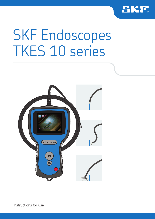

# SKF Endoscopes TKES 10 series



Instructions for use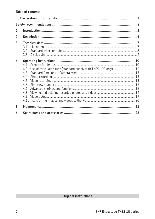| 1. |                                                                                                                                |  |  |  |
|----|--------------------------------------------------------------------------------------------------------------------------------|--|--|--|
| 2. |                                                                                                                                |  |  |  |
| 3. | 3.1                                                                                                                            |  |  |  |
|    | 3.2<br>3.3                                                                                                                     |  |  |  |
| 4. |                                                                                                                                |  |  |  |
|    | 4.1<br>Use of articulated tube (standard supply with TKES 10A only) 12<br>4.2<br>4.3<br>4.4<br>4.5<br>4.6<br>4.7<br>4.8<br>4.9 |  |  |  |
| 5. |                                                                                                                                |  |  |  |
| 6. |                                                                                                                                |  |  |  |

# Original instructions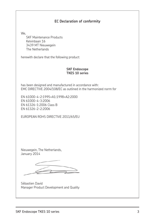### **EC Declaration of conformity**

We,

 SKF Maintenance Products Kelvinbaan 16 3439 MT Nieuwegein The Netherlands

herewith declare that the following product:

#### **SKF Endoscope TKES 10 series**

has been designed and manufactured in accordance with: EMC DIRECTIVE 2004/108/EC as outlined in the harmonized norm for

EN 61000-4-2:1995+A1:1998+A2:2000 EN 61000-4-3:2006 EN 61326-1:2006 Class B EN 61326-2-2:2006

EUROPEAN ROHS DIRECTIVE 2011/65/EU

Nieuwegein, The Netherlands, January 2014

Sébastien David Manager Product Development and Quality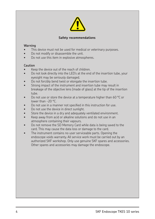

#### **Safety recommendations**

#### **Warning**

- This device must not be used for medical or veterinary purposes.
- Do not modify or disassemble the unit.
- Do not use this item in explosive atmospheres.

#### **Caution**

- Keep the device out of the reach of children.
- Do not look directly into the LED's at the end of the insertion tube, your eyesight may be seriously damaged.
- Do not forcibly bend twist or elongate the insertion tube.
- Strong impact of the instrument and insertion tube may result in breakage of the objective lens (made of glass) at the tip of the insertion tube.
- Do not use or store the device at a temperature higher than 60 °C or lower than -20 °C.
- Do not use in a manner not specified in this instruction for use.
- Do not use the device in direct sunlight.
- Store the device in a dry and adequately ventilated environment.
- Keep away from acid or alkaline solutions and do not use in an atmosphere containing their vapours.
- Do not remove the SD Memory Card while data is being saved to the card. This may cause the data loss or damage to the card.
- The instrument contains no user serviceable parts. Opening the endoscope voids warranty. All service work must be carried out by an authorized SKF workshop. Only use genuine SKF spares and accessories. Other spares and accessories may damage the endoscope.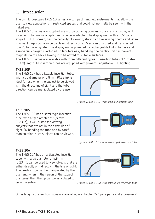# **1. Introduction**

The SKF Endoscopes TKES 10 series are compact handheld instruments that allow the user to view applications in restricted spaces that could not normally be seen with the naked eye.

The TKES 10 series are supplied in a sturdy carrying case and consists of a display unit, insertion tube, mains adapter and side view adapter. The display unit, with a 3.5" wide angle TFT LCD screen, has the capacity of viewing, storing and reviewing photos and video images. Images can also be displayed directly on a TV screen or stored and transferred to a PC for viewing later. The display unit is powered by rechargeable Li-Ion battery and a universal charger is included. To facilitate easy handling, the display unit has powerful magnets on the back allowing it to be affixed to suitable surfaces.

The TKES 10 series are available with three different types of insertion tubes of 1 metre (3.3 ft) length. All insertion tubes are equipped with powerful adjustable LED lighting.

#### **TKES 10F**

The TKES 10F has a flexible insertion tube. with a tip diameter of 5,8 mm (0.23 in), is ideal for use when the subject to be viewed is in the direct line of sight and the tube direction can be manipulated by the user.



Figure 1. TKES 10F with flexible insertion tube

# **TKES 10S**

The TKES 10S has a semi-rigid insertion tube, with a tip diameter of 5,8 mm (0.23 in), is well suited for viewing subjects that are not in the direct line of sight. By bending the tube and by careful manipulation, such subjects can be viewed.

#### **TKES 10A**

The TKES 10A has an articulated insertion tube, with a tip diameter of 5,8 mm (0.23 in), can be used to view objects that are either directly or indirectly in the line of sight. The flexible tube can be manipulated by the user and when in the region of the subject of interest then the tip can be articulated to view the subject. *Figure 3. TKES 10A with articulated insertion tube*



*Figure 2. TKES 10S with semi-rigid insertion tube*



Other lengths of insertion tubes are available, see chapter "6. Spare parts and accessories".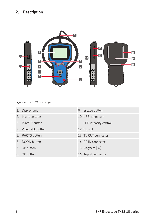# **2. Description**



*Figure 4. TKES 10 Endoscope*

|    | 1. Display unit     | 9. Escape button          |
|----|---------------------|---------------------------|
|    | 2. Insertion tube   | 10. USB connector         |
|    | 3. POWER button     | 11. LED intensity control |
|    | 4. Video REC button | 12. SD slot               |
|    | 5. PHOTO button     | 13. TV OUT connector      |
|    | 6. DOWN button      | 14. DC IN connector       |
|    | 7. UP button        | 15. Magnets $(3x)$        |
| 8. | OK button           | 16. Tripod connector      |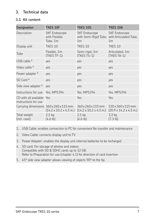# **3. Technical data**

# **3.1 Kit content**

| <b>Designation</b>                            | <b>TKES 10F</b>                                                                       | <b>TKES 10S</b>                                                                        | <b>TKES 10A</b>                                              |
|-----------------------------------------------|---------------------------------------------------------------------------------------|----------------------------------------------------------------------------------------|--------------------------------------------------------------|
| Description                                   | <b>SKF Endoscope</b><br>with Flexible<br>Tube, 1m                                     | <b>SKF Endoscope</b><br>with Semi-Rigid Tube, with Articulated Tube,<br>1 <sub>m</sub> | <b>SKF Endoscope</b><br>1 <sub>m</sub>                       |
| Display unit                                  | TKES 10                                                                               | TKES 10                                                                                | TKES 10                                                      |
| Tube                                          | Flexible, 1m<br>(TKES TF-1)                                                           | Semi-rigid, 1m<br>(TKES TS-1)                                                          | Articulated, 1m<br>(TKES TA-1)                               |
| USB cable $1$                                 | yes                                                                                   | yes                                                                                    | yes                                                          |
| Video cable <sup>2</sup>                      | yes                                                                                   | yes                                                                                    | yes                                                          |
| Power adapter <sup>3</sup>                    | yes                                                                                   | yes                                                                                    | yes                                                          |
| SD Card <sup>4</sup>                          | ves                                                                                   | yes                                                                                    | yes                                                          |
| Side view adapter <sup>5</sup>                | ves                                                                                   | yes                                                                                    | yes                                                          |
| Instructions for use                          | Yes, MP5394                                                                           | Yes, MP5394                                                                            | Yes, MP5394                                                  |
| CD with all available<br>instructions for use | Yes                                                                                   | Yes                                                                                    | Yes                                                          |
|                                               | Carrying dimensions 360 x 260 x 115 mm<br>$(14.2 \times 10.2 \times 4.5 \text{ in.})$ | 360x260x115mm<br>$(14.2 \times 10.2 \times 4.5 \text{ in.})$                           | 530x360x115mm<br>$(20.9 \times 14.2 \times 4.5 \text{ in.})$ |
| Total weight<br>(incl. case)                  | $2,1$ kg<br>(4.6 lb)                                                                  | $2,1$ kg<br>(4.6 lb)                                                                   | $3,3$ kg<br>(7.3 lb)                                         |

1. USB Cable: enables connection to PC for convenient ile transfer and maintenance

2. Video Cable: connects display unit to TV

3. Power Adapter: enables the display unit internal batteries to be recharged

- 4. SD card: For storage of photos and videos. Compatible with SD & SDHC cards up to 32 GB. Refer to Preparation for use (chapter 4.1) for direction of card insertion
- 5. 45° side view adapter allows viewing of objects 90º to the tip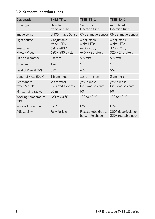# **3.2 Standard insertion tubes**

| <b>Designation</b>            | <b>TKES TF-1</b>                  | <b>TKES TS-1</b>                                                 | <b>TKES TA-1</b>                  |
|-------------------------------|-----------------------------------|------------------------------------------------------------------|-----------------------------------|
| Tube type                     | Flexible<br>Insertion tube        | Semi-rigid<br>Insertion tube                                     | Articulated<br>Insertion tube     |
| Image sensor                  |                                   | CMOS Image Sensor CMOS Image Sensor CMOS Image Sensor            |                                   |
| Light source                  | 4 adjustable<br>white LEDs        | 4 adjustable<br>white LEDs                                       | 4 adjustable<br>white LEDs        |
| Resolution<br>Photo / Video   | 640 x 480/<br>640 x 480 pixels    | 640 x 480/<br>640 x 480 pixels                                   | 320 x 240 /<br>320 x 240 pixels   |
| Size tip diameter             | $5,8 \text{ mm}$                  | $5,8$ mm                                                         | $5,8$ mm                          |
| Tube length                   | 1 <sub>m</sub>                    | 1 <sub>m</sub>                                                   | 1 <sub>m</sub>                    |
| Field of View (FOV)           | 670                               | 670                                                              | 550                               |
| Depth of Field (DOF)          | $1.5 cm - 6 cm$                   | $1.5$ cm - 6 cm                                                  | $2 \text{ cm}$ - 6 cm             |
| Resistant to<br>water & fuels | yes to most<br>fuels and solvents | yes to most<br>fuels and solvents                                | yes to most<br>fuels and solvents |
| Min bending radius            | 50 mm                             | 50 mm                                                            | 50 mm                             |
| Working temperature<br>range  | $-20$ to 60 °C                    | $-20$ to 60 °C                                                   | $-20$ to 60 °C                    |
| Ingress Protection            | <b>IP67</b>                       | <b>IP67</b>                                                      | <b>IP67</b>                       |
| Adjustability                 | Fully flexible                    | Flexible tube that can 300° tip articulation<br>be bent to shape | 330° rotatable neck               |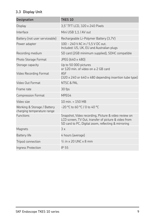# **3.3 Display Unit**

| <b>Designation</b>                                        | <b>TKES 10</b>                                                                                                                                                      |
|-----------------------------------------------------------|---------------------------------------------------------------------------------------------------------------------------------------------------------------------|
| <b>Display</b>                                            | 3,5" TFT LCD, 320 x 240 Pixels                                                                                                                                      |
| Interface                                                 | Mini USB 1,1 / AV out                                                                                                                                               |
| Battery (not user serviceable)                            | Rechargeable Li-Polymer Battery (3,7V)                                                                                                                              |
| Power adapter                                             | 100 - 240 V AC in / 5,5 V DC out.<br>Included: US, UK, EU and Australian plugs                                                                                      |
| Recording medium                                          | SD card (2GB minimum supplied), SDHC compatible                                                                                                                     |
| Photo Storage Format                                      | JPEG (640 x 480)                                                                                                                                                    |
| Storage capacity                                          | Up to 50 000 pictures<br>or 120 min. of video on a 2 GB card                                                                                                        |
| Video Recording Format                                    | <b>ASF</b><br>$(320 \times 240 \text{ or } 640 \times 480 \text{ depending insertion tube type})$                                                                   |
| Video Out Format                                          | NTSC & PAL                                                                                                                                                          |
| Frame rate                                                | 30 fps                                                                                                                                                              |
| <b>Compression Format</b>                                 | MPEG4                                                                                                                                                               |
| Video size                                                | 10 min. = 150 MB                                                                                                                                                    |
| Working & Storage / Battery<br>charging temperature range | $-20$ °C to 60 °C / 0 to 40 °C                                                                                                                                      |
| <b>Functions</b>                                          | Snapshot, Video recording, Picture & video review on<br>LCD screen, TV Out, transfer of picture & video from<br>SD card to PC, Digital zoom, reflecting & mirroring |
| Magnets                                                   | 3x                                                                                                                                                                  |
| <b>Battery</b> life                                       | 4 hours (average)                                                                                                                                                   |
| Tripod connection                                         | $\frac{1}{4}$ in x 20 UNC x 8 mm                                                                                                                                    |
| Ingress Protection                                        | IP 55                                                                                                                                                               |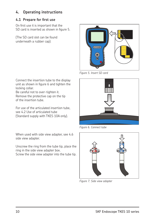# **4. Operating instructions**

# **4.1 Prepare for first use**

On first use it is important that the SD card is inserted as shown in figure 5.

(The SD card slot can be found underneath a rubber cap):



*Figure 5. Insert SD card*

Connect the insertion tube to the display unit as shown in figure 6 and tighten the locking collar.

Be careful not to over-tighten it.

Remove the protective cap on the tip of the insertion tube.

For use of the articulated insertion tube, see 4.2 Use of articulated tube (Standard supply with TKES 10A only).

When used with side view adapter, see 4.6 side view adapter.

Unscrew the ring from the tube tip, place the ring in the side view adapter box.

Screw the side view adapter into the tube tip.



*Figure 6. Connect tube*



*Figure 7. Side view adapter*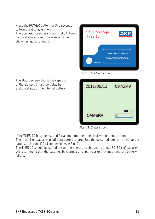Press the POWER button for 3-5 seconds to turn the display unit on. The Start-up screen is shown briefly followed by the status screen for five seconds, as shown in figures 8 and 9.



*Figure 8. Start-up screen*

| 2011/06/13    | 09:42:49 |
|---------------|----------|
| <b>CAMERA</b> |          |

*Figure 9. Status screen*

If the TKES 10 has been stored for a long time then the display might not turn on. The most likely cause is insufficient battery charge. Use the power adapter to re-charge the battery, using the DC IN connection (see Fig. 4).

The TKES 10 should be stored at room temperature, charged to about 30-50% of capacity. We recommend that the batteries be charged once per year to prevent premature battery failure.

The status screen shows the capacity of the SD card (in a green/blue bar) and the status of the internal battery.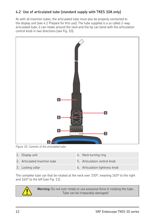# **4.2 Use of articulated tube (standard supply with TKES 10A only)**

As with all insertion tubes, the articulated tube must also be properly connected to the display unit (see 4.1 Prepare for first use). The tube supplied is a so called 2-way articulated tube, it can rotate around the neck and the tip can bend with the articulation control knob in two directions (see Fig. 10).



*Figure 10. Controls of the articulated tube*

| 1. Display unit               | 4. Neck turning ring           |
|-------------------------------|--------------------------------|
| 2. Articulated Insertion tube | 5. Articulation control knob   |
| 3. Locking collar             | 6. Articulation tightness knob |

The complete tube can that be rotated at the neck over 330º, meaning 165º to the right and 165º to the left (see Fig. 11).



**Warning:** Do not over rotate or use excessive force in rotating the tube. Tube can be irreparably damaged!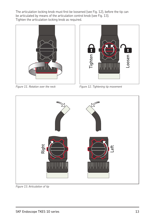The articulation locking knob must first be loosened (see Fig. 12), before the tip can be articulated by means of the articulation control knob (see Fig. 13). Tighten the articulation locking knob as required.



*Figure 11. Rotation over the neck*



*Figure 12. Tightening tip movement*



*Figure 13. Articulation of tip*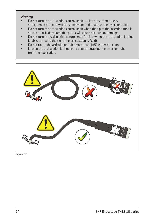#### **Warning**

- Do not turn the articulation control knob until the insertion tube is straightened out, or it will cause permanent damage to the insertion tube.
- Do not turn the articulation control knob when the tip of the insertion tube is stuck or blocked by something, or it will cause permanent damage.
- Do not turn the Articulation control knob forcibly when the articulation locking knob is turned to the right (the articulation is fixed).
- Do not rotate the articulation tube more than 165° either direction.
- Loosen the articulation locking knob before retracting the insertion tube from the application.



*Figure 14.*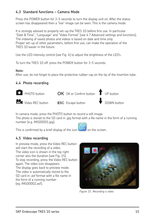# **4.3 Standard functions – Camera Mode**

Press the POWER button for 3-5 seconds to turn the display unit on. After the status screen has disappeared then a "live" image can be seen. This is the camera mode.

It is strongly advised to properly set-up the TKES 10 before first use. In particular "Date & Time", "Language" and "Video Format" (see 4.7 Advanced settings and functions). The indexing of saved photos and videos is based on date and time only. Proper set-up of other parameters, before first use, can make the operation of the TKES 10 easier in the future.

Use the LED intensity control (see Fig. 4) to adjust the brightness of the LED's.

To turn the TKES 10 off: press the POWER button for 3-5 seconds.

#### **Note:**

After use, do not forget to place the protective rubber cap on the tip of the insertion tube.

# **4.4 Photo recording**



In camera mode, press the PHOTO button to record a still image.

The photo is stored to the SD card in .jpg format with a file name in the form of a running number (e.g. IMG00001.jpg).

This is confirmed by a brief display of the icon  $\sim$  on the screen.

# **4.5 Video recording**

In preview mode, press the Video REC button will start the recording of a video. The video icon is shown in the top right corner also the duration (see Fig. 15). To stop recording, press the Video REC button again. The video icon disappears. The display goes back to preview mode. The video is automatically stored to the SD card in .asf format with a file name in the form of a running number (eg. IMG00002.asf).



*Figure 15. Recording a video*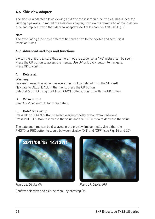# **4.6 Side view adapter**

The side view adapter allows viewing at 90º to the insertion tube tip axis. This is ideal for viewing pipe walls. To mount the side view adapter, unscrew the chrome tip of the insertion tube and replace it with the side view adapter (see 4.1 Prepare for first use, Fig. 7).

#### **Note:**

The articulating tube has a different tip thread size to the flexible and semi-rigid insertion tubes

# **4.7 Advanced settings and functions**

Switch the unit on. Ensure that camera mode is active (i.e. a "live" picture can be seen). Press the OK button to access the menus. Use UP or DOWN button to navigate. Press OK to confirm

#### **A. Delete all**

#### **Warning:**

Be careful using this option, as everything will be deleted from the SD card! Navigate to DELETE ALL in the menu, press the OK button. Select YES or NO using the UP or DOWN buttons. Confirm with the OK button.

#### **B. Video output**

See "4.9 Video output" for more details.

#### **C. Date/ time setup**

Press UP or DOWN button to select year/month/day or hour/minute/second. Press PHOTO button to increase the value and the REC button to decrease the value.

The date and time can be displayed in the preview image mode. Use either the PHOTO or REC button to toggle between display "ON" and "OFF" (see Fig. 16 and 17).





*Figure 16. Display ON Figure 17. Display OFF*

Confirm selection and exit the menu by pressing OK.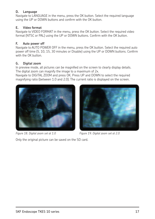#### **D. Language**

Navigate to LANGUAGE in the menu, press the OK button. Select the required language using the UP or DOWN buttons and confirm with the OK button.

#### **E. Video format**

Navigate to VIDEO FORMAT in the menu, press the OK button. Select the required video format (NTSC or PAL) using the UP or DOWN buttons. Confirm with the OK button.

#### **F. Auto power off**

Navigate to AUTO POWER OFF in the menu, press the OK button. Select the required auto power off time (5, 10, 15, 30 minutes or Disable) using the UP or DOWN buttons. Confirm with the OK button.

#### **G. Digital zoom**

In preview mode, all pictures can be magnified on the screen to clearly display details. The digital zoom can magnify the image to a maximum of 2x.

Navigate to DIGITAL ZOOM and press OK. Press UP and DOWN to select the required magnifying ratio (between 1.0 and 2.0). The current ratio is displayed on the screen.





*Figure 18. Digital zoom set at 1.0 Figure 19. Digital zoom set at 2.0*

Only the original picture can be saved on the SD card.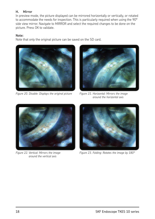#### **H. Mirror**

In preview mode, the picture displayed can be mirrored horizontally or vertically, or rotated to accommodate the needs for inspection. This is particularly required when using the 90° side view mirror. Navigate to MIRROR and select the required changes to be done on the picture. Press OK to validate.

#### **Note:**

Note that only the original picture can be saved on the SD card.



*Figure 20. Disable: Displays the original picture Figure 21. Horizontal: Mirrors the image* 



*around the horizontal axis*



*Figure 22. Vertical: Mirrors the image around the vertical axis*



*Figure 23. Folding: Rotates the image by 180°*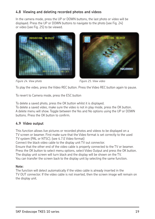# **4.8 Viewing and deleting recorded photos and videos**

In the camera mode, press the UP or DOWN buttons, the last photo or video will be displayed. Press the UP or DOWN buttons to navigate to the photo (see Fig. 24) or video (see Fig. 25) to be viewed.





*Figure 24. View photo Figure 25. View video*

To play the video, press the Video REC button. Press the Video REC button again to pause.

To revert to Camera mode, press the ESC button

To delete a saved photo, press the OK button whilst it is displayed.

To delete a saved video, make sure the video is not in play mode, press the OK button. A delete menu will show. Toggle between the Yes and No options using the UP or DOWN buttons. Press the OK button to confirm.

# **4.9 Video output**

This function allows live pictures or recorded photos and videos to be displayed on a TV screen or beamer. First make sure that the Video format is set correctly to the used TV system (PAL or NTSC). (see 4.7.E Video format)

Connect the black video cable to the display unit TV out connector.

Ensure that the other end of the video cable is properly connected to the TV or beamer. Press the OK button to select menu options, select Video Output and press the OK button. The display unit screen will turn black and the display will be shown on the TV. You can transfer the screen back to the display unit by selecting the same function.

#### **Note:**

The function will detect automatically if the video cable is already inserted in the TV OUT connector. If the video cable is not inserted, then the screen image will remain on the display unit.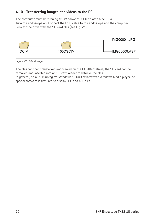# **4.10 Transferring images and videos to the PC**

The computer must be running MS Windows™ 2000 or later, Mac OS X. Turn the endoscope on. Connect the USB cable to the endoscope and the computer. Look for the drive with the SD card files (see Fig. 26).



*Figure 26. File storage*

The files can then transferred and viewed on the PC. Alternatively the SD card can be removed and inserted into an SD card reader to retrieve the files.

In general, on a PC running MS Windows™ 2000 or later with Windows Media player, no special software is required to display JPG and ASF files.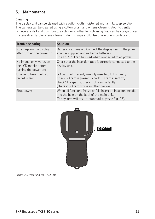# **5. Maintenance**

#### **Cleaning**

The display unit can be cleaned with a cotton cloth moistened with a mild soap solution. The camera can be cleaned using a cotton brush and or lens-cleaning cloth to gently remove any dirt and dust. Soap, alcohol or another lens cleaning luid can be sprayed over the lens directly. Use a lens-cleaning cloth to wipe it off. Use of acetone is prohibited.

| <b>Trouble shooting</b>                                                   | Solution                                                                                                                                                                                                    |
|---------------------------------------------------------------------------|-------------------------------------------------------------------------------------------------------------------------------------------------------------------------------------------------------------|
| No image on the display<br>after turning the power on:                    | Battery is exhausted. Connect the display unit to the power<br>adapter supplied and recharge batteries.<br>The TKES 10 can be used when connected to ac power.                                              |
| No image, only words on<br>the LCD monitor after<br>turning the power on: | Check that the insertion tube is correctly connected to the<br>display unit.                                                                                                                                |
| Unable to take photos or<br>record video:                                 | SD card not present, wrongly inserted, full or faulty.<br>Check SD card is present, check SD card insertion,<br>check SD capacity, check if SD card is faulty<br>(check if SD card works in other devices). |
| Shut down:                                                                | When all functions freeze or fail, insert an insulated needle<br>into the hole on the back of the main unit.<br>The system will restart automatically (see Fig. 27).                                        |



*Figure 27. Resetting the TKES 10*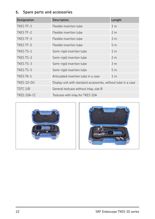# **6. Spare parts and accessories**

| <b>Designation</b> | <b>Description</b>                                             | Length         |  |
|--------------------|----------------------------------------------------------------|----------------|--|
| <b>TKES TF-1</b>   | Flexible insertion tube                                        | 1 <sub>m</sub> |  |
| TKES TF-2          | Flexible insertion tube                                        | 2 <sub>m</sub> |  |
| TKES TF-3          | Flexible insertion tube                                        | 3 <sub>m</sub> |  |
| <b>TKES TF-5</b>   | Flexible insertion tube                                        | 5 <sub>m</sub> |  |
| <b>TKES TS-1</b>   | Semi-rigid insertion tube                                      | 1 <sub>m</sub> |  |
| TKES TS-2          | Semi-rigid insertion tube                                      | 2 <sub>m</sub> |  |
| TKES TS-3          | Semi-rigid insertion tube                                      | 3 <sub>m</sub> |  |
| TKES TS-5          | Semi-rigid insertion tube                                      | 5 <sub>m</sub> |  |
| <b>TKES TA-1</b>   | Articulated insertion tube in a case                           | 1 <sub>m</sub> |  |
| TKES 10-DU         | Display unit with standard accessories, without tube in a case |                |  |
| TDTC 1/B           | General toolcase without inlay, size B                         |                |  |
| TKES 10A-CC        | Toolcase with inlay for TKES 10A                               |                |  |